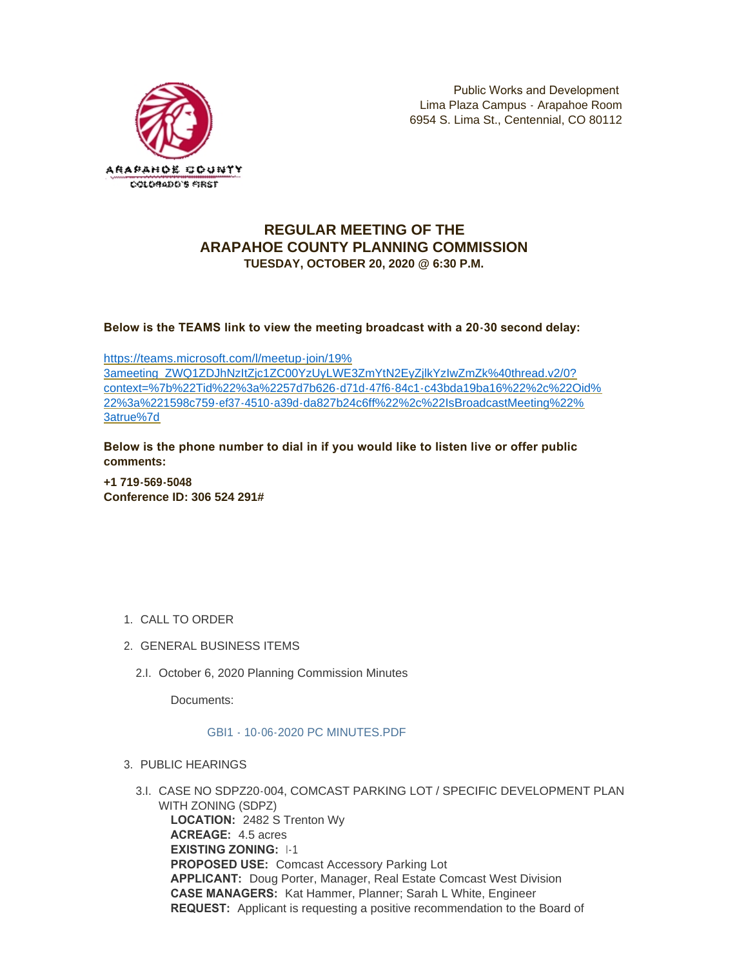

# **REGULAR MEETING OF THE ARAPAHOE COUNTY PLANNING COMMISSION TUESDAY, OCTOBER 20, 2020 @ 6:30 P.M.**

**Below is the TEAMS link to view the meeting broadcast with a 20-30 second delay:** 

https://teams.microsoft.com/l/meetup-join/19% 3ameeting\_ZWQ1ZDJhNzItZjc1ZC00YzUyLWE3ZmYtN2EyZjlkYzIwZmZk%40thread.v2/0? [context=%7b%22Tid%22%3a%2257d7b626-d71d-47f6-84c1-c43bda19ba16%22%2c%22Oid%](https://teams.microsoft.com/l/meetup-join/19%3ameeting_ZWQ1ZDJhNzItZjc1ZC00YzUyLWE3ZmYtN2EyZjlkYzIwZmZk%40thread.v2/0?context=%7b%22Tid%22%3a%2257d7b626-d71d-47f6-84c1-c43bda19ba16%22%2c%22Oid%22%3a%221598c759-ef37-4510-a39d-da827b24c6ff%22%2c%22IsBroadcastMeeting%22%3atrue%7d) 22%3a%221598c759-ef37-4510-a39d-da827b24c6ff%22%2c%22IsBroadcastMeeting%22% 3atrue%7d

**Below is the phone number to dial in if you would like to listen live or offer public comments:**

**+1 719-569-5048 Conference ID: 306 524 291#**

- 1. CALL TO ORDER
- GENERAL BUSINESS ITEMS 2.
	- 2.I. October 6, 2020 Planning Commission Minutes

Documents:

# [GBI1 - 10-06-2020 PC MINUTES.PDF](https://www.arapahoegov.com/AgendaCenter/ViewFile/Item/13633?fileID=24462)

- 3. PUBLIC HEARINGS
	- 3.I. CASE NO SDPZ20-004, COMCAST PARKING LOT / SPECIFIC DEVELOPMENT PLAN WITH ZONING (SDPZ) **LOCATION:** 2482 S Trenton Wy **ACREAGE:** 4.5 acres **EXISTING ZONING:** I-1 **PROPOSED USE:** Comcast Accessory Parking Lot **APPLICANT:** Doug Porter, Manager, Real Estate Comcast West Division **CASE MANAGERS:** Kat Hammer, Planner; Sarah L White, Engineer **REQUEST:** Applicant is requesting a positive recommendation to the Board of